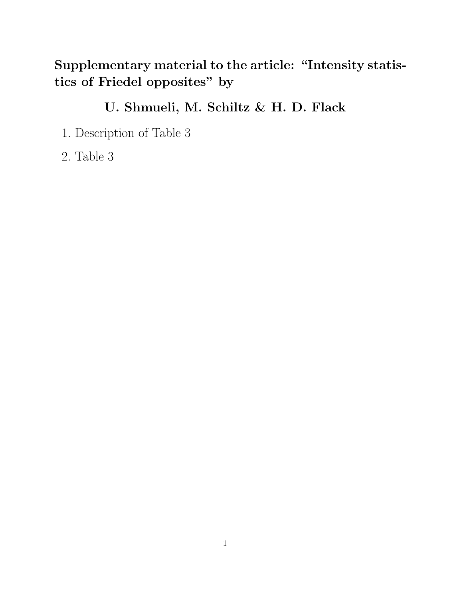## **Supplementary material to the article: "Intensity statistics of Friedel opposites" by**

## **U. Shmueli, M. Schiltz & H. D. Flack**

- 1. Description of Table 3
- 2. Table 3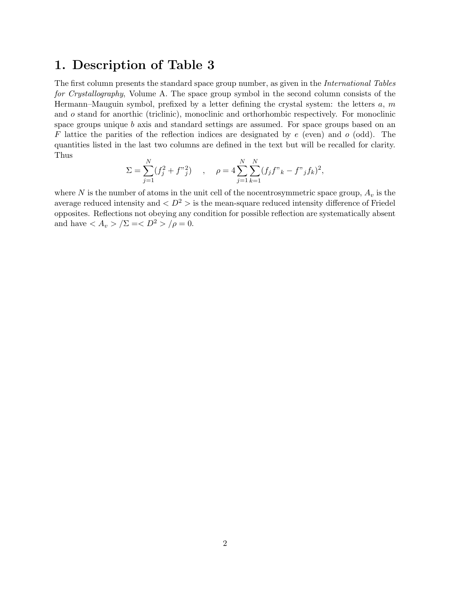## **1. Description of Table 3**

The first column presents the standard space group number, as given in the *International Tables for Crystallography*, Volume A. The space group symbol in the second column consists of the Hermann–Mauguin symbol, prefixed by a letter defining the crystal system: the letters  $a, m$ and o stand for anorthic (triclinic), monoclinic and orthorhombic respectively. For monoclinic space groups unique  $b$  axis and standard settings are assumed. For space groups based on an F lattice the parities of the reflection indices are designated by  $e$  (even) and  $o$  (odd). The quantities listed in the last two columns are defined in the text but will be recalled for clarity. Thus

$$
\Sigma = \sum_{j=1}^{N} (f_j^2 + f^{\prime \prime}{}_{j}^2) \quad , \quad \rho = 4 \sum_{j=1}^{N} \sum_{k=1}^{N} (f_j f^{\prime \prime}{}_{k} - f^{\prime \prime}{}_{j} f_k)^2,
$$

where N is the number of atoms in the unit cell of the nocentrosymmetric space group,  $A_v$  is the average reduced intensity and  $\langle D^2 \rangle$  is the mean-square reduced intensity difference of Friedel opposites. Reflections not obeying any condition for possible reflection are systematically absent and have  $\langle A_v \rangle / \Sigma = \langle D^2 \rangle / \rho = 0$ .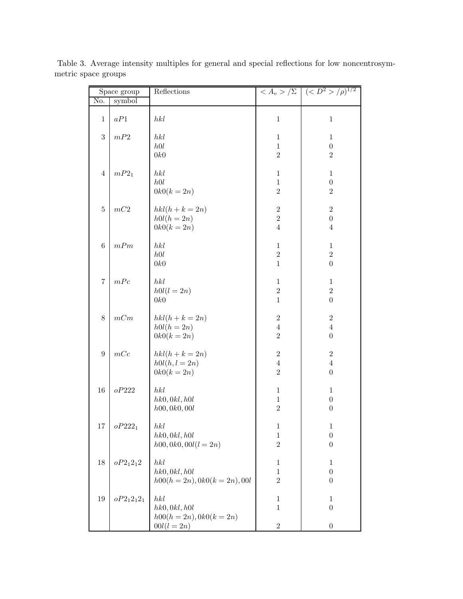| Space group    |               | Reflections                                             |                                                | $\langle A_v \rangle / \Sigma \mid (\langle D^2 \rangle / \rho)^{1/2}$ |
|----------------|---------------|---------------------------------------------------------|------------------------------------------------|------------------------------------------------------------------------|
| No.            | symbol        |                                                         |                                                |                                                                        |
| $\mathbf{1}$   | $aP1$         | hkl                                                     | $\mathbf{1}$                                   | $\mathbf{1}$                                                           |
| $\sqrt{3}$     | $mP2$         | hkl<br>h0l<br>0k0                                       | $\mathbf{1}$<br>$\mathbf{1}$<br>$\overline{2}$ | $\mathbf{1}$<br>$\boldsymbol{0}$<br>$\overline{2}$                     |
| $\overline{4}$ | $mP2_1$       | hkl<br>h0l<br>$0k0(k = 2n)$                             | $\mathbf{1}$<br>$\mathbf{1}$<br>$\overline{2}$ | $\mathbf{1}$<br>$\boldsymbol{0}$<br>$\sqrt{2}$                         |
| $\bf 5$        | $mC2$         | $hkl(h+k=2n)$<br>$h0l(h=2n)$<br>$0k0(k = 2n)$           | $\,2$<br>$\,2$<br>$\overline{4}$               | $\sqrt{2}$<br>$\boldsymbol{0}$<br>$\overline{4}$                       |
| $\,6$          | mPm           | hkl<br>h0l<br>0k0                                       | $\mathbf{1}$<br>$\sqrt{2}$<br>$\mathbf{1}$     | $\mathbf{1}$<br>$\sqrt{2}$<br>$\boldsymbol{0}$                         |
| $\overline{7}$ | mPc           | hkl<br>$h0l(l=2n)$<br>0k0                               | $\mathbf{1}$<br>$\,2$<br>$\mathbf{1}$          | $\mathbf{1}$<br>$\overline{2}$<br>$\boldsymbol{0}$                     |
| $8\,$          | mCm           | $hkl(h+k=2n)$<br>$h0l(h=2n)$<br>$0k0(k = 2n)$           | $\boldsymbol{2}$<br>$\,4\,$<br>$\overline{2}$  | $\overline{2}$<br>$\overline{4}$<br>$\boldsymbol{0}$                   |
| 9              | mcc           | $hkl(h+k=2n)$<br>$h0l(h, l=2n)$<br>$0k0(k = 2n)$        | $\,2$<br>$\,4\,$<br>$\overline{2}$             | $\overline{2}$<br>$\overline{4}$<br>$\boldsymbol{0}$                   |
| 16             | oP222         | hkl<br>hk0, 0kl, h0l<br>h00, 0k0, 00l                   | $\mathbf{1}$<br>$\,1$<br>$\overline{2}$        | $\mathbf{1}$<br>$\boldsymbol{0}$<br>$\boldsymbol{0}$                   |
| 17             | $oP222_1$     | hkl<br>hk0, 0kl, h0l<br>$h00, 0k0, 00l(l = 2n)$         | $\mathbf{1}$<br>$\,1$<br>$\overline{2}$        | $\mathbf{1}$<br>$\boldsymbol{0}$<br>$\boldsymbol{0}$                   |
| 18             | $oP2_12_12$   | hkl<br>hk0, 0kl, h0l<br>$h00(h = 2n), 0k0(k = 2n), 00l$ | $\mathbf{1}$<br>$\mathbf{1}$<br>$\sqrt{2}$     | $\mathbf{1}$<br>$\boldsymbol{0}$<br>$\theta$                           |
| 19             | $oP2_12_12_1$ | hkl<br>hk0, 0kl, h0l<br>$h00(h = 2n), 0k0(k = 2n)$      | $\mathbf{1}$<br>$\mathbf{1}$                   | $\mathbf{1}$<br>$\boldsymbol{0}$                                       |
|                |               | $00l(l=2n)$                                             | $\sqrt{2}$                                     | $\boldsymbol{0}$                                                       |

Table 3. Average intensity multiples for general and special reflections for low noncentrosymmetric space groups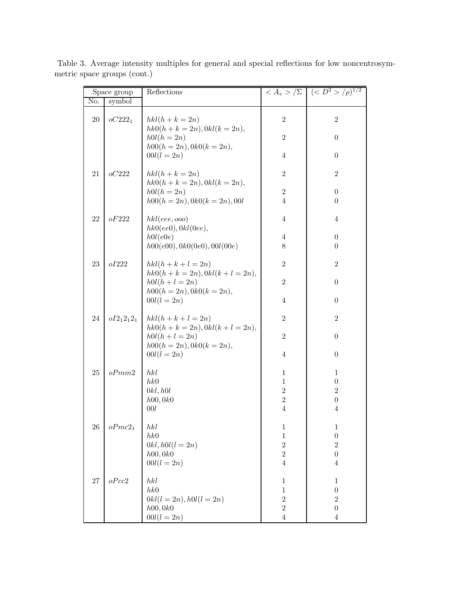| Space group |                    | Reflections                                            |                          | $\langle A_v \rangle / \Sigma$ $\langle \langle D^2 \rangle / \rho \rangle^{1/2}$ |
|-------------|--------------------|--------------------------------------------------------|--------------------------|-----------------------------------------------------------------------------------|
| No.         | symbol             |                                                        |                          |                                                                                   |
| $20\,$      | $oC222_1$          | $hkl(h+k=2n)$<br>$hk0(h + k = 2n), 0kl(k = 2n),$       | $\sqrt{2}$               | $\boldsymbol{2}$                                                                  |
|             |                    | $h0l(h=2n)$<br>$h00(h = 2n), 0k0(k = 2n),$             | $\mathbf{2}$             | $\boldsymbol{0}$                                                                  |
|             |                    | $00l(l=2n)$                                            | $\overline{4}$           | $\overline{0}$                                                                    |
| 21          | oC222              | $hkl(h+k=2n)$<br>$hk0(h + k = 2n), 0kl(k = 2n),$       | $\overline{2}$           | $\overline{2}$                                                                    |
|             |                    | $h0l(h=2n)$                                            | $\overline{2}$           | $\boldsymbol{0}$                                                                  |
|             |                    | $h00(h = 2n), 0k0(k = 2n), 00l$                        | $\overline{4}$           | $\theta$                                                                          |
| 22          | oF222              | hkl(eee, ooo)<br>hk0(ee0), 0kl(0ee),                   | $\overline{4}$           | $\overline{4}$                                                                    |
|             |                    | h0l(e0e)                                               | $\overline{4}$           | $\boldsymbol{0}$                                                                  |
|             |                    | h00(e00), 0k0(0e0), 00l(00e)                           | $8\,$                    | $\boldsymbol{0}$                                                                  |
| 23          | oI222              | $hkl(h+k+l=2n)$<br>$hk0(h + k = 2n), 0kl(k + l = 2n),$ | $\overline{2}$           | $\boldsymbol{2}$                                                                  |
|             |                    | $h0l(h + l = 2n)$<br>$h00(h = 2n), 0k0(k = 2n),$       | $\overline{2}$           | $\boldsymbol{0}$                                                                  |
|             |                    | $00l(l=2n)$                                            | $\overline{4}$           | $\boldsymbol{0}$                                                                  |
| 24          | $oI2_12_12_1$      | $hkl(h+k+l=2n)$<br>$hk0(h + k = 2n), 0kl(k + l = 2n),$ | $\overline{2}$           | $\overline{2}$                                                                    |
|             |                    | $h0l(h + l = 2n)$<br>$h00(h = 2n), 0k0(k = 2n),$       | $\overline{2}$           | $\boldsymbol{0}$                                                                  |
|             |                    | $00l(l=2n)$                                            | $\overline{4}$           | $\boldsymbol{0}$                                                                  |
| 25          | oPmm2              | hkl                                                    | $\mathbf{1}$             | $\mathbf{1}$                                                                      |
|             |                    | hk0                                                    | $\mathbf{1}$             | $\boldsymbol{0}$                                                                  |
|             |                    | 0kl, h0l<br>h00, 0k0                                   | $\sqrt{2}$<br>$\sqrt{2}$ | $\sqrt{2}$<br>$\boldsymbol{0}$                                                    |
|             |                    | 00l                                                    | $\overline{4}$           | 4                                                                                 |
| 26          | oPmc2 <sub>1</sub> | hkl                                                    | $\,1$                    | $\,1$                                                                             |
|             |                    | hk0                                                    | $\,1$                    | $\boldsymbol{0}$                                                                  |
|             |                    | $0kl, h0l(l=2n)$                                       | $\sqrt{2}$               | $\sqrt{2}$                                                                        |
|             |                    | h00, 0k0                                               | $\overline{2}$           | $\boldsymbol{0}$                                                                  |
|             |                    | $00l(l=2n)$                                            | $\overline{4}$           | $\overline{4}$                                                                    |
| $27\,$      | oPcc2              | hkl                                                    | $\mathbf{1}$             | $\mathbf{1}$                                                                      |
|             |                    | hk0                                                    | $\mathbf{1}$             | $\boldsymbol{0}$                                                                  |
|             |                    | $0kl(l = 2n), h0l(l = 2n)$                             | $\overline{2}$           | $\overline{2}$                                                                    |
|             |                    | h00, 0k0                                               | $\overline{2}$           | $\boldsymbol{0}$                                                                  |
|             |                    | $00l(l=2n)$                                            | $\overline{4}$           | 4                                                                                 |

Table 3. Average intensity multiples for general and special reflections for low noncentrosymmetric space groups (cont.)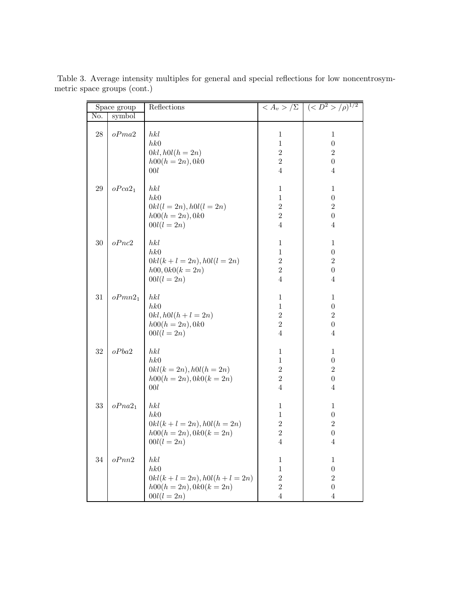| Space group       |                    | Reflections                                                                               |                                                                                    | $\langle A_v \rangle / \Sigma$ $\langle \langle D^2 \rangle / \rho \rangle^{1/2}$        |
|-------------------|--------------------|-------------------------------------------------------------------------------------------|------------------------------------------------------------------------------------|------------------------------------------------------------------------------------------|
| No.               | $symbol{b}$        |                                                                                           |                                                                                    |                                                                                          |
| $\ensuremath{28}$ | oPma2              | hkl<br>hk0<br>$0kl, h0l(h=2n)$<br>$h00(h = 2n), 0k0$<br>00l                               | $\mathbf{1}$<br>$\mathbf{1}$<br>$\overline{2}$<br>$\overline{2}$<br>$\overline{4}$ | $\mathbf{1}$<br>$\boldsymbol{0}$<br>$\overline{2}$<br>$\boldsymbol{0}$<br>$\overline{4}$ |
| 29                | oPca2 <sub>1</sub> | hkl<br>hk0<br>$0kl(l = 2n), h0l(l = 2n)$<br>$h00(h = 2n), 0k0$<br>$00l(l=2n)$             | $\mathbf{1}$<br>$\mathbf{1}$<br>$\overline{2}$<br>$\overline{2}$<br>$\overline{4}$ | $\mathbf{1}$<br>$\boldsymbol{0}$<br>$\overline{2}$<br>$\boldsymbol{0}$<br>$\overline{4}$ |
| 30                | oPnc2              | hkl<br>hk0<br>$0kl(k+l=2n), h0l(l=2n)$<br>$h00, 0k0(k = 2n)$<br>$00l(l=2n)$               | $\mathbf{1}$<br>$\mathbf{1}$<br>$\overline{2}$<br>$\overline{2}$<br>$\overline{4}$ | $\mathbf{1}$<br>$\boldsymbol{0}$<br>$\overline{2}$<br>$\boldsymbol{0}$<br>$\overline{4}$ |
| 31                | oPmn2 <sub>1</sub> | hkl<br>hk0<br>$0kl, h0l(h + l = 2n)$<br>$h00(h = 2n), 0k0$<br>$00l(l=2n)$                 | $\mathbf{1}$<br>$\mathbf{1}$<br>$\overline{2}$<br>$\overline{2}$<br>$\overline{4}$ | $\mathbf{1}$<br>$\boldsymbol{0}$<br>$\sqrt{2}$<br>$\boldsymbol{0}$<br>$\overline{4}$     |
| 32                | oPba2              | hkl<br>hk0<br>$0kl(k = 2n), h0l(h = 2n)$<br>$h00(h = 2n), 0k0(k = 2n)$<br>00l             | $\mathbf{1}$<br>$\mathbf{1}$<br>$\overline{2}$<br>$\overline{2}$<br>$\overline{4}$ | $\mathbf{1}$<br>$\boldsymbol{0}$<br>$\sqrt{2}$<br>$\boldsymbol{0}$<br>$\overline{4}$     |
| $33\,$            | oPna2 <sub>1</sub> | hkl<br>hk0<br>$0kl(k+l=2n), h0l(h=2n)$<br>$h00(h = 2n), 0k0(k = 2n)$<br>$00l(l=2n)$       | $\mathbf{1}$<br>$\,1$<br>$\overline{2}$<br>$\overline{2}$<br>4                     | $\mathbf 1$<br>$\boldsymbol{0}$<br>$\overline{2}$<br>$\boldsymbol{0}$<br>4               |
| 34                | oPnn2              | hkl<br>hk0<br>$0kl(k+l = 2n), h0l(h+l = 2n)$<br>$h00(h = 2n), 0k0(k = 2n)$<br>$00l(l=2n)$ | $\mathbf{1}$<br>$\mathbf{1}$<br>$\overline{2}$<br>$\overline{2}$<br>4              | $\mathbf 1$<br>$\boldsymbol{0}$<br>$\boldsymbol{2}$<br>$\boldsymbol{0}$<br>4             |

Table 3. Average intensity multiples for general and special reflections for low noncentrosymmetric space groups (cont.)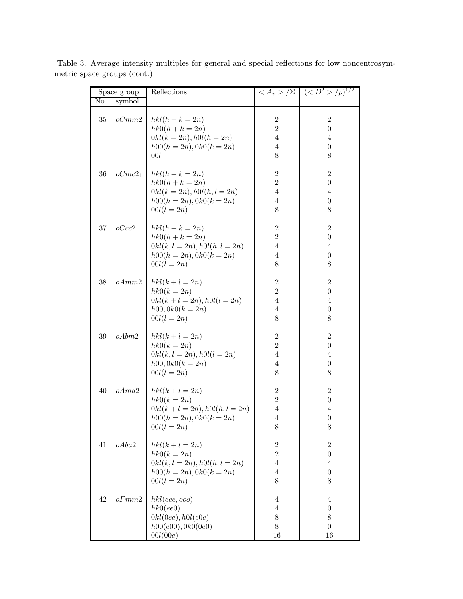| Space group   |                    | Reflections                                                                                                         |                                                                           | $\langle A_v \rangle / \Sigma$ $(\langle D^2 \rangle / \rho)^{1/2}$           |
|---------------|--------------------|---------------------------------------------------------------------------------------------------------------------|---------------------------------------------------------------------------|-------------------------------------------------------------------------------|
| No.<br>symbol |                    |                                                                                                                     |                                                                           |                                                                               |
| $35\,$        | oCmm2              | $hkl(h+k=2n)$<br>$hk0(h + k = 2n)$<br>$0kl(k = 2n), h0l(h = 2n)$<br>$h00(h = 2n), 0k0(k = 2n)$<br>00l               | $\overline{2}$<br>$\overline{2}$<br>$\overline{4}$<br>$\overline{4}$<br>8 | $\sqrt{2}$<br>$\boldsymbol{0}$<br>$\overline{4}$<br>$\boldsymbol{0}$<br>8     |
| $36\,$        | oCmc2 <sub>1</sub> | $hkl(h+k=2n)$<br>$hk0(h+k=2n)$<br>$0kl(k = 2n), h0l(h, l = 2n)$<br>$h00(h = 2n), 0k0(k = 2n)$<br>$00l(l=2n)$        | $\overline{2}$<br>$\overline{2}$<br>$\overline{4}$<br>$\overline{4}$<br>8 | $\overline{2}$<br>$\boldsymbol{0}$<br>$\overline{4}$<br>$\boldsymbol{0}$<br>8 |
| 37            | oCcc2              | $hkl(h+k=2n)$<br>$hk0(h + k = 2n)$<br>$0kl(k, l = 2n), h0l(h, l = 2n)$<br>$h00(h = 2n), 0k0(k = 2n)$<br>$00l(l=2n)$ | $\overline{2}$<br>$\overline{2}$<br>$\overline{4}$<br>$\overline{4}$<br>8 | $\overline{2}$<br>$\boldsymbol{0}$<br>$\overline{4}$<br>$\boldsymbol{0}$<br>8 |
| 38            | oAmm2              | $hkl(k+l=2n)$<br>$hk0(k=2n)$<br>$0kl(k+l=2n), h0l(l=2n)$<br>$h00, 0k0(k = 2n)$<br>$00l(l=2n)$                       | $\sqrt{2}$<br>$\overline{2}$<br>$\overline{4}$<br>$\overline{4}$<br>$8\,$ | $\,2$<br>$\boldsymbol{0}$<br>$\overline{4}$<br>$\boldsymbol{0}$<br>8          |
| $39\,$        | oAbm2              | $hkl(k+l=2n)$<br>$hk0(k=2n)$<br>$0kl(k, l = 2n), h0l(l = 2n)$<br>$h00, 0k0(k = 2n)$<br>$00l(l=2n)$                  | $\sqrt{2}$<br>$\overline{2}$<br>$\overline{4}$<br>$\overline{4}$<br>$8\,$ | $\overline{2}$<br>$\boldsymbol{0}$<br>4<br>$\theta$<br>$8\,$                  |
| 40            | oAma2              | $hkl(k+l=2n)$<br>$hk0(k=2n)$<br>$0kl(k+l=2n), h0l(h, l=2n)$<br>$h00(h = 2n), 0k0(k = 2n)$<br>$00l(l=2n)$            | $\sqrt{2}$<br>$\overline{2}$<br>$\overline{4}$<br>$\overline{4}$<br>8     | $\,2$<br>$\boldsymbol{0}$<br>4<br>$\boldsymbol{0}$<br>8                       |
| 41            | oAba2              | $hkl(k+l=2n)$<br>$hk0(k=2n)$<br>$0kl(k, l = 2n), h0l(h, l = 2n)$<br>$h00(h = 2n), 0k0(k = 2n)$<br>$00l(l=2n)$       | $\sqrt{2}$<br>$\overline{2}$<br>$\overline{4}$<br>$\overline{4}$<br>8     | $\sqrt{2}$<br>$\boldsymbol{0}$<br>$\overline{4}$<br>$\boldsymbol{0}$<br>8     |
| 42            | oFmm2              | hkl(eee, ooo)<br>hk0(ee0)<br>0kl(0ee), h0l(e0e)<br>h00(e00), 0k0(0e0)<br>00l(00e)                                   | $\overline{4}$<br>$\overline{4}$<br>8<br>8<br>16                          | 4<br>$\boldsymbol{0}$<br>$8\,$<br>$\boldsymbol{0}$<br>16                      |

Table 3. Average intensity multiples for general and special reflections for low noncentrosymmetric space groups (cont.)